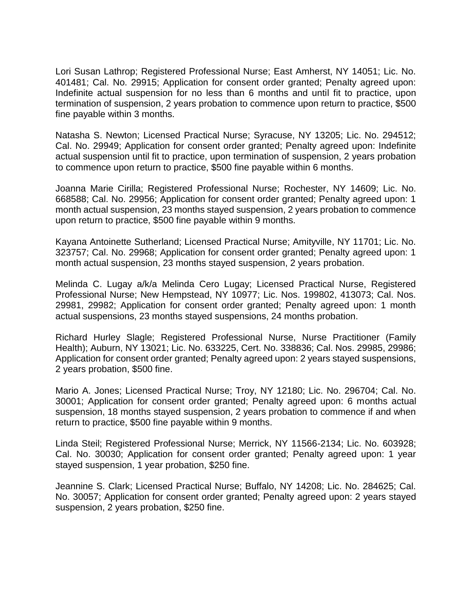

**THE STATE EDUCATION DEPARTMENT** / THE UNIVERSITY OF THE STATE OF NEW YORK / ALBANY, NY 12234

**TO:** The Honorable the Members of the Board of Regents

FROM: Tony Lofrumento Anthony Lofruments Je

**SUBJECT:** Summary of the February 2018 Meeting

**DATE:** March 1, 2018

**AUTHORIZATION(S):**

Flem Eeia

**Executive Summary**

Issue for Decision

Review of the Summary of the February 2018 Meetings of the Board of Regents.

## Proposed Handling

Approval of the Summary of February 2018 meetings.

# Procedural History

This document summarizes the actions of the Board of Regents during the monthly meeting and is brought before the Board the following month for approval.

## Recommendation

Approval of the Summary of the February 2018 meetings.

# Timetable for Implementation

Effective March 13, 2018.

**VOTED**, that the Summary of the February 2018 Meetings of the Board of Regents of The University of the State of New York be approved.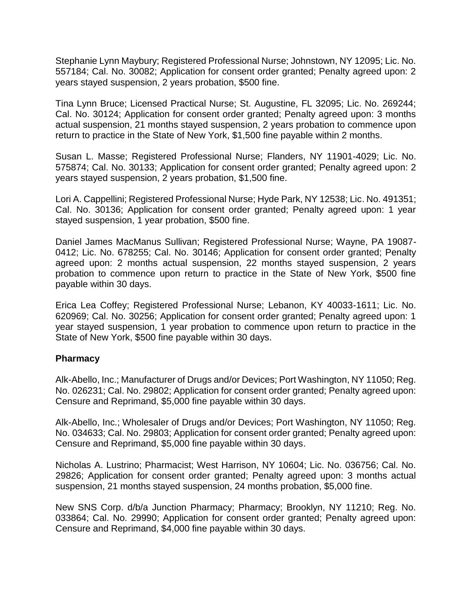

# *SUMMARY OF THE FEBRUARY 2018 MEETING*

# *OF THE BOARD OF REGENTS*

*OF*

## *THE UNIVERSITY OF THE STATE OF NEW YORK*

*Held at the State Education Building Albany, New York*

*February 12 and 13, 2018*

*Anthony Lofrumento, Secretary Board of Regents*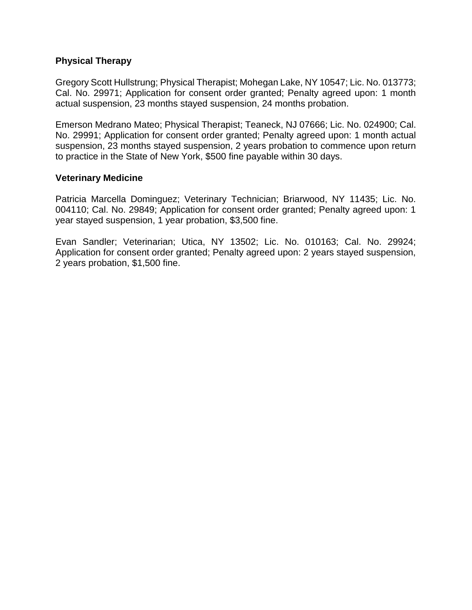### *THE BOARD OF REGENTS*

The Board of Regents of The University of the State of New York held a public session on Monday, February 12, 2018 at 9:00 a.m. pursuant to a call to duty sent to each Regent.

### **MEETING OF THE FULL BOARD, Monday, February 12 th at 9:00 a.m.**

#### **Board Members in Attendance:**

Betty A. Rosa, Chancellor T. Andrew Brown, Vice Chancellor Roger Tilles Lester W. Young, Jr. Christine D. Cea James E. Cottrell Judith Chin Beverly L. Ouderkirk Catherine Collins Judith Johnson Nan Eileen Mead Elizabeth S. Hakanson Luis O. Reyes

Also present were Commissioner of Education, MaryEllen Elia, Executive Deputy Commissioner, Elizabeth Berlin, Counsel and Deputy Commissioner for Legal Affairs, Alison B. Bianchi, and the Secretary, Board of Regents, Anthony Lofrumento. Regents Wade S. Norwood, Kathleen M. Cashin, Josephine Victoria Finn and Susan W. Mittler were absent and excused.

Chancellor Betty A. Rosa called the meeting to order at 9:00 a.m. and recognized representatives from the New York State Parent Teacher Association (NYSPTA) and congratulated them on 2018 Outstanding State PTA Advocacy Award from the National Parent Teacher Association.

Regent Hakanson was asked to provide thoughts for a moment of reflection.

### **ACTION ITEM**

### **Executive Session Motion**

**MOVED**, that the Board of Regents convene in executive session, Tuesday, Tuesday, February 13 at 10:15 a.m. to discuss litigation matters.

| <b>Motion by:</b> | Vice Chancellor T. Andrew Brown |
|-------------------|---------------------------------|
| Seconded by:      | Regent Christine D. Cea         |
| <b>Action:</b>    | Motion carried unanimously.     |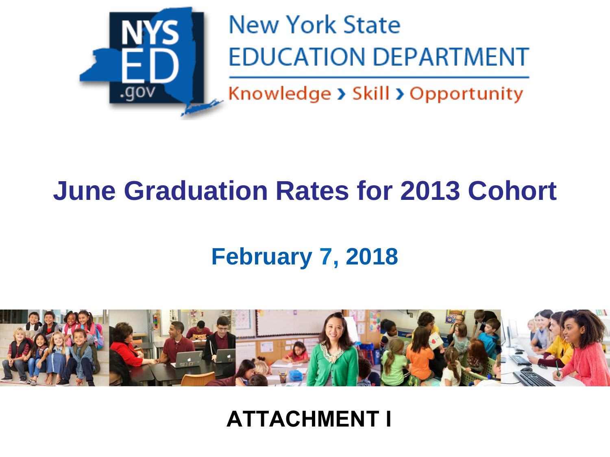### **PRESENTATION**

### **Review of the Graduation Rate for the 2013 Cohort that Successfully Graduated in 2017**

Commissioner Elia presented a review of the graduation rate for the 2013 cohort that successfully graduated in 2017 (Attachment I).

Chancellor Rosa called upon Regent Judith Johnson to present a video presentation highlighting 'The Focus of Our Work.' Regent Johnson provided comments before presenting a video clip produced by the Nyack Union Free School District: Vision. Achievement. Pride.

Chancellor Betty A. Rosa adjourned the meeting.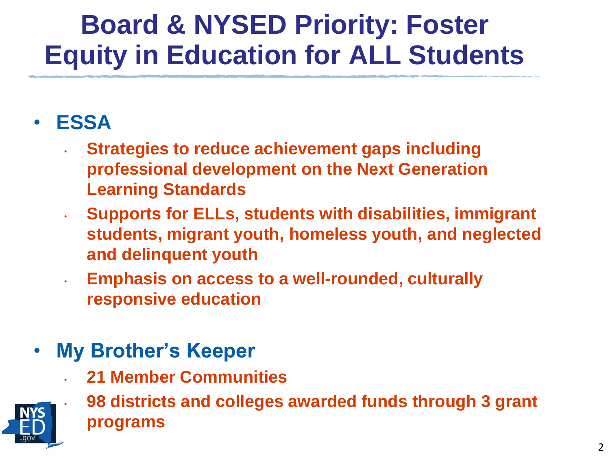### **MEETING OF THE FULL BOARD, Tuesday, February 13, 2018 at 10:45 a.m.**

#### **Board Members in Attendance:**

Betty A. Rosa, Chancellor T. Andrew Brown, Vice Chancellor Lester W. Young, Jr. Christine D. Cea James E. Cottrell Judith Chin Beverly L. Ouderkirk Catherine Collins Judith Johnson Nan Eileen Mead Elizabeth S. Hakanson Luis O. Reyes

Also present were Commissioner of Education, MaryEllen Elia, Executive Deputy Commissioner, Elizabeth Berlin, Counsel and Deputy Commissioner for Legal Affairs, Alison B. Bianchi, and the Secretary, Board of Regents, Anthony Lofrumento. Regents Roger Tilles, Wade S. Norwood, Kathleen M. Cashin, Josephine Victoria Finn and Susan W. Mittler were absent and excused.

Regent Young was asked to provide thoughts for a moment of reflection.

## **ACTION ITEM**

### **Charter Applications BR (A) 1**

**MOVED,** that the Board of Regents approve each application in accordance with the recommendations contained in the summary table (see Appendix I).

#### **Summary of the January 2018 Meeting of the Board of Regents BR (A) 2**

**MOVED,** that the Summary of the January 2018 Meetings of the Board of Regents of The University of the State of New York be approved.

| <b>Motion by:</b> | <b>Regent Catherine Collins</b> |
|-------------------|---------------------------------|
| Seconded by:      | Regent Beverly L. Ouderkirk     |
| <b>Action:</b>    | Motion carried unanimously.     |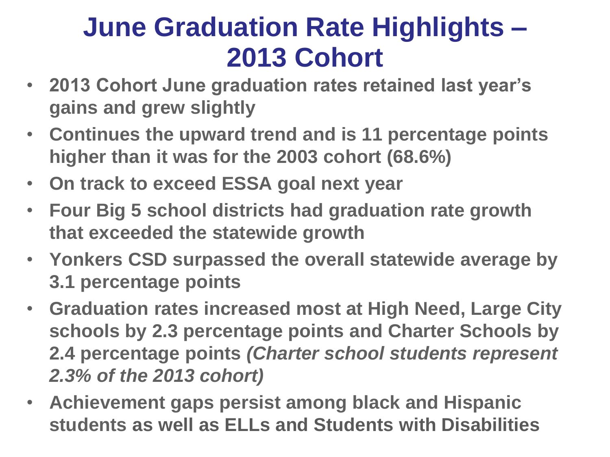### **PROGRAM AREA CONSENT ITEMS**

#### **Higher Education**

#### **Marist College: Regents Authorization to award the Master of Arts in Teaching (M.A.T.) degree BR (CA) 1**

**MOVED**, that the Board of Regents authorize Marist College to confer the Master of Arts in Teaching (M.A.T.) degree on students successfully completing registered programs at the Poughkeepsie Campus.

### **New York State College of Human Ecology at Cornell University: Master Plan Amendment to award the Bachelor of Science (B.S.) in Health Care Policy BR (CA) 2**

**MOVED**, that the Board of Regents approve a master plan amendment to authorize the New York State College of Human Ecology to offer a program in Health Care Policy, its first program in the Health Professions. The amendment will be effective until February 2019, unless the Department registers the program prior to that date, in which case master plan amendment shall be without term.

#### **New York State Professional Standards and Practices Board for Teaching Annual Report BR (CA) 3**

**MOVED**, that the Board of Regents approve an amendment to the PSPB Bylaws to increase the number of members from 28 to 31 and to require reporting to the Board of Regents each year and not restricted to only the month of July.

#### **Professional Practice**

#### **Report of the Committee on the Professions Regarding Licensing Petitions BR (CA) 4**

**MOVED**, that the Regents approve the recommendations of the Committee on the Professions regarding licensing petitions and degree conferrals.

### **Master Plan Amendment: CUNY City College, Doctor of Philosophy (Ph.D.) Program in Psychology-Clinical BR (CA) 5**

**MOVED**, that the Board of Regents approve the amendment to the master plan of the City University of New York authorizing CUNY City College to offer its first doctoral level program in the social sciences disciplinary area, a Ph.D. program in Psychology-Clinical.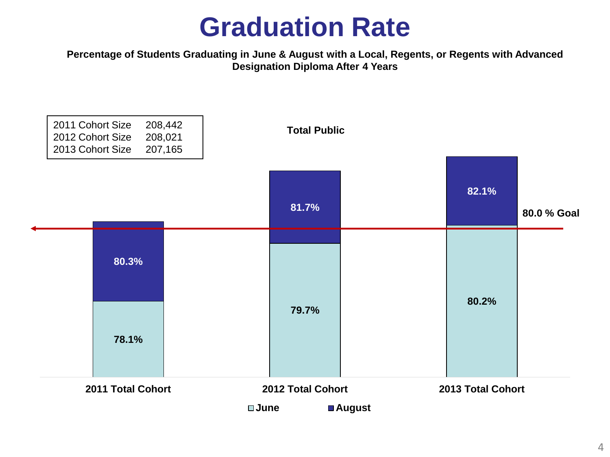#### **Proposed Amendment of §29.7 of the Rules of the Board of Regents and §63.6 of the Regulations of the Commissioner of Education Relating to the Unprofessional Conduct Special Provisions and the Requirements for Substituting Interchangeable Biological Products for Prescribed Products in the Profession of Pharmacy BR (CA) 6**

**MOVED**, that subdivision (a) of §29.7 of the Rules of the Board of Regents and paragraph (7) of subdivision (a) and clause (c) of subparagraph (ii) of paragraph (8) of subdivision (b) of §63.6 of the Regulations of the Commissioner of Education be amended, as submitted, effective March 12, 2018, as an emergency action upon a finding by the Board of Regents that such action is necessary for the preservation of the public health and general welfare in order to timely implement the requirements of Chapter 357 of the Laws of 2017, which defined the terms "biological product" and "interchangeable biological product" and established the requirements for the substitution of a biological product, as well as the appropriate method of communication by the pharmacist to the prescriber notifying the prescriber of the substitution of the biological product dispensed.

#### **State University of New York (SUNY) College of Technology at Delhi: Authorization to Award the Bachelor of Science (B.S.) Degree BR (CA) 7**

**MOVED**, that the Board of Regents authorize the SUNY Board of Trustees to award the degree of Bachelor of Science (B.S.) on duly qualified students successfully completing the B.S. program at SUNY College of Technology at Delhi effective February 13, 2018.

### **P-12 Education**

#### **Proposed Amendment to §100.5 of the Commissioner's Regulations Relating to the Superintendent Determination Option for Certain Students with Disabilities to Graduate with a Local Diploma BR (CA) 8**

**MOVED**, that paragraph (12) of subdivision (d) of section 100.5 of the Regulations of the Commissioner of Education be amended, as submitted, effective March 11, 2018, as an emergency action upon a finding by the Board of Regents that such action is necessary for the preservation of the general welfare in order to ensure that certain students with disabilities who are graduating from high school in January 2018 and thereafter are aware that they may be considered an eligible student for the superintendent determination option if they meet the requirements of the proposed rule. It is also necessary to ensure that superintendents are on notice that they must, upon the written request of a parent or guardian, make a determination as to whether certain students with disabilities are eligible for a local diploma, if the student meets the requirements of the proposed rule.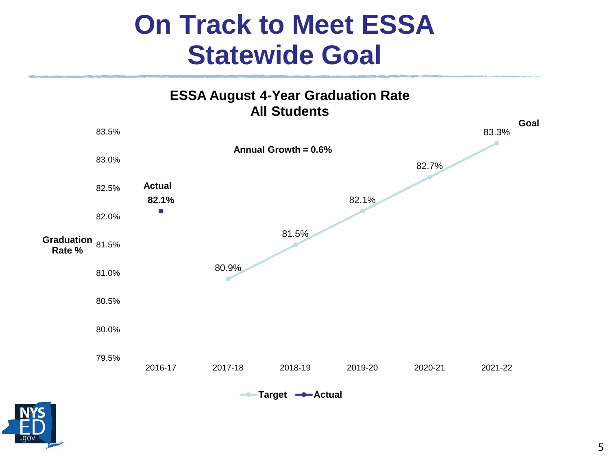**MOVED**, that the Regents approve the consent agenda items.

**Motion by:** Regent Christine D. Cea **Seconded by:** Regent Judith Chin Action: Motion carried unanimously.

### **STANDING COMMITTEE REPORTS**

### **ADULT CAREER AND CONTINUING EDUCATION SERVICES (ACCES)**

Your Adult Career and Continuing Education Services (ACCES) Committee held its scheduled meeting on February 12, 2018. All members were present, with the exception of Regent Cashin and Regent Norwood, who were excused.

### ACTION ITEM

Workforce Innovation and Opportunity Act (WIOA) Combined State Plan 2-Year Update – Your committee recommends that the Board of Regents approve the 2-year update of the Workforce Innovation and Opportunity Act Combined State Plan. The update to this Plan reports on progress, and identifies strengths and challenges. Within the ACCES-VR component, the most significant change for the updated Plan is replacement of the comprehensive needs assessment data. In 2017, Cornell University conducted a new needs assessment and the results of that project have replaced the old information. As appropriate, other outdated data was replaced to reflect 2017 information. For the Adult Education component, WIOA Title 2 funds will be competitively rebid, reflecting new instructional approaches such as integrated education and training and career exploration. For the first time, applications will be reviewed by New York's 33 Local Workforce Development Boards for alignment with their dedicated plans that address access and service to out-of-school youth and adults who are basic skills deficient in literacy or English Language or lack a High School Equivalency diploma. Every funded program will have a single point of contact for workforce referrals and establish career pathways.

With the support of the Board of Regents, ACCES will continue to identify opportunities to improve and expand collaboration with partners in the workforce development system.

#### MOTION FOR ACTION BY FULL BOARD

Madam Chancellor and Colleagues: Your ACCES Committee recommends, and we move, that the Board of Regents act affirmatively upon this recommendation in the written report of the Committee's deliberations at its meeting on February 13, 2018, copies of which have been distributed to each Regent.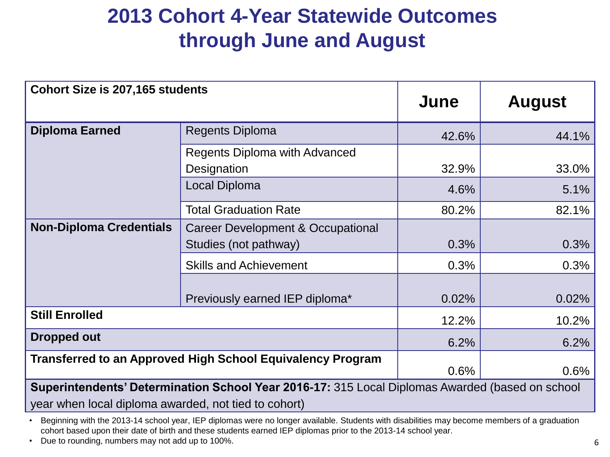# **CULTURAL EDUCATION**

Your Committee on Cultural Education had its scheduled meeting on February 12, 2018. Regent Roger Tilles, Chair of the Cultural Education Committee, submitted the following written report. In attendance were committee members: Regent Tilles, Chair, Regent Cea, Regent Cottrell, Regent Chin, Regent Johnson, Regent Ouderkirk and Regent Mead. Regents, in addition to CE Committee Members, in attendance were: Chancellor Rosa, Vice Chancellor Brown, and Regent Reyes. Also in attendance were Commissioner Elia, Executive Deputy Commissioner Berlin, and Counsel and Deputy Commissioner for Legal Affairs Alison Bianchi.

## **ITEMS FOR DISCUSSION**

Chair's Remarks: Regent Tilles welcomed everyone and introduced Deputy Commissioner Mark Schaming. Deputy Commissioner Schaming provided a brief report on Office of Cultural Education news and activities including: The State Archives received 144 applications requesting a total of \$7.5 million for the local government records management improvement grants. These applications will be reviewed in the coming months and projects that are awarded funding will begin in July. The projects include; 25 shared services applications requesting just over \$2 million, 11 applications from New York City mayoral agencies requesting \$913,564, and 108 individual applications requesting \$4.6 million. In addition, the State Archives received 14 applications requesting a total of \$174,576 for the Documentary Heritage Program grants. This past weekend the New York State Museum hosted an event titled Women of Science honoring woman working in a variety of scientific disciplines at the museum. Visitors enjoyed a day of scientific hands-on activities, mini lectures and "Ask the Scientist" sessions, and opportunities to speak with scientists about their work and research.

**New Netherland Institute and Dutch Collections in Office of Cultural Education** [CE (D) 1] - The collecting institutions within the Office of Cultural Education (OCE); the State Archives, State Library and State Museum together hold the largest, most comprehensive collections that document New Netherland, among the oldest European settlements in the United States. Along with the associated research, these collections help describe the earliest and continuous European settlement in what is now New York State. The presentation will explore collections, research, and plans for upcoming exhibitions, education initiatives and collections access.

## **HIGHER EDUCATION**

Your Higher Education Committee held its scheduled meeting on February 12, 2018. All members were present with the exception of Vice Chancellor Brown and Regent Cashin.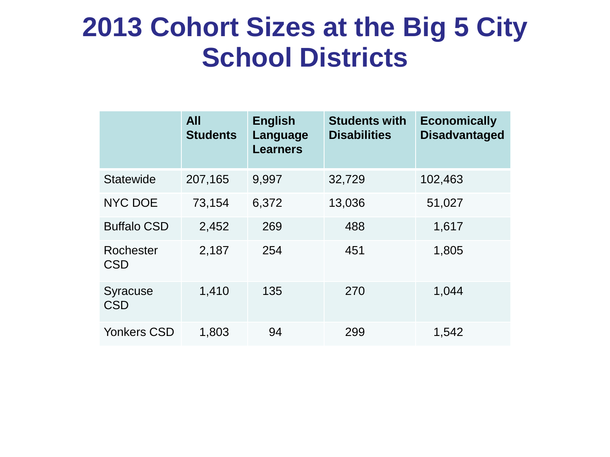## **ACTION ITEMS**

### **Motion for Action by Full Board**

Madam Chancellor and Colleagues: Your Higher Education Committee recommends, and we move, that the Board of Regents act affirmatively upon each recommendation in the written report of the Committee's deliberations at its meeting on February 12, 2018, copies of which have been distributed to each member of the Board of Regents.

### **Matters Requiring Board Action:**

**Renewal of Institutional Accreditation – Christie's Education, Inc.** - Your Committee discussed staff recommendations concerning the renewal of institutional accreditation for Christie's Education, Inc. The institution's last accreditation visit was made in 2012, at which time Christie's was accredited for a period of five years. The period of accreditation was administratively extended until March 31, 2018 pending completion of the process for renewal. VOTED: That the Board of Regents renew the accreditation of Christie's Education, Inc. with conditions for five years during which time the institution shall come into compliance with standards for accreditation within two years. **HE (A) 1**

**Renewal of Institutional Accreditation – The Rockefeller University.** - Your Committee discussed staff recommendations concerning the renewal of institutional accreditation for The Rockefeller University. The last institutional accreditation peer review site visit was in 2007, at which time The Rockefeller University was accredited for a period of ten years. The period of accreditation was administratively extended until February 12, 2018, pending completion of the process for renewal. VOTED: That the Board of Regents renew the accreditation of The Rockefeller University with conditions for ten years during which time the institution shall come into compliance with standards for accreditation within two years. **HE (A) 2**

### **Consent Agenda**

The Board of Regents acted on the following consent agenda items at the February 2018 meeting.

- **Marist College: Regents Authorization to offer the Master of Arts in Teaching (M.A.T.) Degree** – The Board approved to authorize Marist College to confer the Master of Arts in Teaching (M.A.T.) degree on students successfully completing registered programs at the Poughkeepsie Campus. **BR (CA) 1**
- **Master Plan Amendment: New York State College of Human Ecology at Cornell University: MPA to Award the Bachelor of Science (B.S.) in Health Care Policy** – The Board approved a master plan amendment to authorize the New York State College of Human Ecology to offer a program in Health Care Policy, its first program in the Health Professions. The amendment will be effective until February 2019, unless the Department registers the program prior to that date, in which case master plan amendment shall be without term. **BR (CA) 2**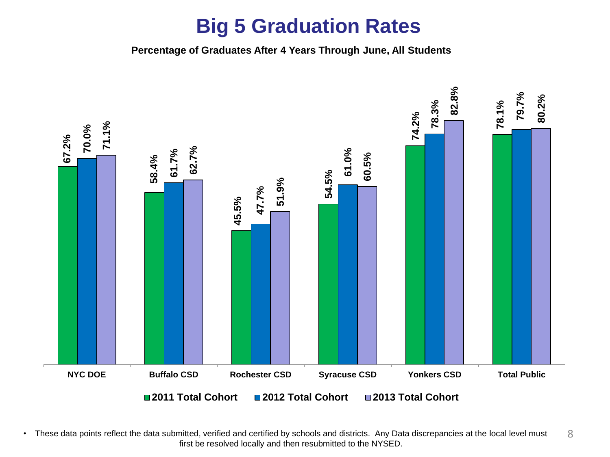• **Professional Standards and Practices Board Approval of Bylaws** – The Board approved an amendment to the PSPB Bylaws to increase the number of members from 28 to 31 and to require reporting to the Board of Regents each year and not restricted to only the month of July. **BR (CA) 3**

### **HIGHER EDUCATION/PROFESSIONAL PRACTICE JOINT MEETING**

Your Higher Education and Professional Practice Joint Committee held its scheduled meeting on February 12, 2018. All members were present, except Regent Wade S. Norwood, Regent Josephine Victoria Finn, Regent Susan W. Mittler, Regent Kathleen M. Cashin and Vice Chancellor T. Andrew Brown, who were excused. Chancellor Betty A. Rosa was also present.

### **ACTION ITEMS**

### **Motion for Action by Full Board**

Madam Chancellor and Colleagues: Your Higher Education and Professional Practice Joint Committee recommends, and we move, that the Board of Regents act affirmatively upon each recommendation in the written report of the Committee's deliberations at its meeting on February 12, 2018, copies of which have been distributed to each member of the Board of Regents.

### **Matters Requiring Board Action:**

**Designation of Regents Physician Shortage Areas** [HE/PPC (A) 1] - Your Committee discussed the list of shortage areas to be used for the 2018 Regents Physician Loan Forgiveness Program application cycle. Due to discrepancies in shortage areas at the federal and State level, which has delayed receiving an updated list of shortage areas, the Department of Health is recommending that the 2017 list be used to determine awards for the 2018 Regents Physician Loan Forgiveness Program. Your Committee approved the use of the 2017 list for the 2018 application cycle and ask that it be communicated to the field immediately.

### **P-12 EDUCATION**

Your P-12 Education Committee held its scheduled meeting on February 12, 2018. All members were present, except for Regents Norwood, Cashin, Finn and Mittler, who were excused.

## **ACTION ITEMS**

**Renewal Recommendations for Charter Schools Authorized by the Board of Regents** [P-12 (A) 1 - REVISED] - Your Committee recommends that the Board of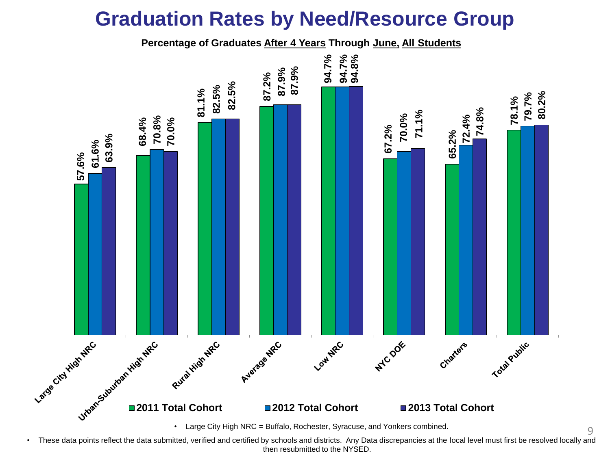Regents finds that, Brighter Choice Charter School for Boys: (1) meets the requirements set out in Article 56 of the Education Law, and all other applicable laws, rules and regulations; (2) the applicant can demonstrate the ability to operate the school in an educationally and fiscally sound manner; (3) granting the application is likely to improve student learning and achievement and materially further the purposes set out in subdivision two of section twenty-eight hundred fifty of this article; and (4) granting the application would have a significant educational benefit to the students expected to attend the charter school, and the Board of Regents therefore approves the renewal application of Brighter Choice Charter School for Boys and that a renewal charter be issued, and that its provisional charter be extended for a term up through and including June 30, 2021.

Your Committee recommends that the Board of Regents finds that, Brighter Choice Charter School for Girls: (1) meets the requirements set out in Article 56 of the Education Law, and all other applicable laws, rules and regulations; (2) the applicant can demonstrate the ability to operate the school in an educationally and fiscally sound manner; (3) granting the application is likely to improve student learning and achievement and materially further the purposes set out in subdivision two of section twenty-eight hundred fifty of this article; and (4) granting the application would have a significant educational benefit to the students expected to attend the charter school, and the Board of Regents therefore approves the renewal application of Brighter Choice Charter School for Girls and that a renewal charter be issued, and that its provisional charter be extended for a term up through and including June 30, 2021.

Your Committee recommends that the Board of Regents finds that, The New American Academy Charter School: (1) meets the requirements set out in Article 56 of the Education Law, and all other applicable laws, rules and regulations; (2) the applicant can demonstrate the ability to operate the school in an educationally and fiscally sound manner; (3) granting the application is likely to improve student learning and achievement and materially further the purposes set out in subdivision two of section twenty-eight hundred fifty of this article; and (4) granting the application would have a significant educational benefit to the students expected to attend the charter school, and the Board of Regents therefore approves the renewal application of The New American Academy Charter School and that a renewal charter be issued, and that its provisional charter be extended for a term up through and including June 30, 2020.

Motion passed. Regents Mead and Ouderkirk abstained from the vote for the Brighter Choice Charter School for Boys and the Brighter Choice Charter School for Girls. Regent Collins abstained from the vote for all three schools.

**Revisions to Charters Authorized by New York City Department of Education Chancellor** [P-12 (A) 2] - Your Committee recommends that the Board of Regents finds that: (1) the charter school meets the requirements set out in Article 56 of the Education Law, and all other applicable laws, rules and regulations; (2) the charter school can demonstrate the ability to operate in an educationally and fiscally sound manner; (3) granting the request to revise the charter is likely to improve student learning and achievement and materially further the purposes set out in subdivision two of section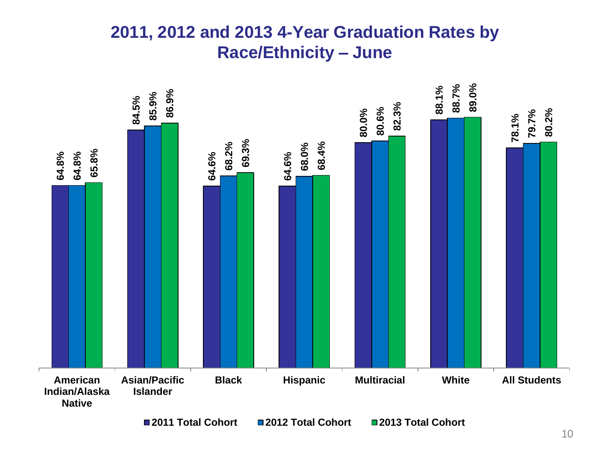twenty-eight hundred fifty of Article 56 of the Education Law; and (4) granting the request to revise the charter would have a significant educational benefit to the students expected to attend the charter school, and the Board of Regents therefore approves the charter revision for New Heights Academy Charter School and amends the provisional charter accordingly.

Your Committee recommends that the Board of Regents finds that: (1) the charter school meets the requirements set out in Article 56 of the Education Law, and all other applicable laws, rules and regulations; (2) the charter school can demonstrate the ability to operate in an educationally and fiscally sound manner; (3) granting the request to revise the charter is likely to improve student learning and achievement and materially further the purposes set out in subdivision two of section twenty-eight hundred fifty of Article 56 of the Education Law; and (4) granting the request to revise the charter would have a significant educational benefit to the students expected to attend the charter school, and the Board of Regents therefore approves the charter revision for New York French American Charter School and amends the provisional charter accordingly.

Motion passed. Regent Collins abstained.

**Renewals to Charters Authorized by Chancellor of the New York City Department of Education** [P-12 (A) 3 REVISED] - Your Committee recommends that the Board of Regents finds that the proposed charter school: (1) meets the requirements set out in Article 56 of the Education Law, and all other applicable laws, rules and regulations; (2) will operate in an educationally and fiscally sound manner; (3) is likely to improve student learning and achievement and materially further the purposes set out in subdivision two of section twenty-eight hundred fifty of Article 56 of the Education Law; and (4) will have a significant educational benefit to the students expected to attend the charter school, and the Board of Regents therefore approves and issues the renewal charter of the Hyde Leadership Charter School - Brooklyn as proposed by the Chancellor of the New York City Department of Education, and that its provisional charter be extended for a term up through and including June 30, 2023.

Your Committee recommends that the Board of Regents finds that the proposed charter school: (1) meets the requirements set out in Article 56 of the Education Law, and all other applicable laws, rules and regulations; (2) will operate in an educationally and fiscally sound manner; (3) is likely to improve student learning and achievement and materially further the purposes set out in subdivision two of section twenty-eight hundred fifty of Article 56 of the Education Law; and (4) will have a significant educational benefit to the students expected to attend the charter school, and the Board of Regents therefore approves and issues the renewal charter of the South Bronx Charter School for International Cultures and the Arts as proposed by the Chancellor of the New York City Department of Education, and that its provisional charter be extended for a term up through and including June 30, 2023.

Motion passed. Regent Collins abstained.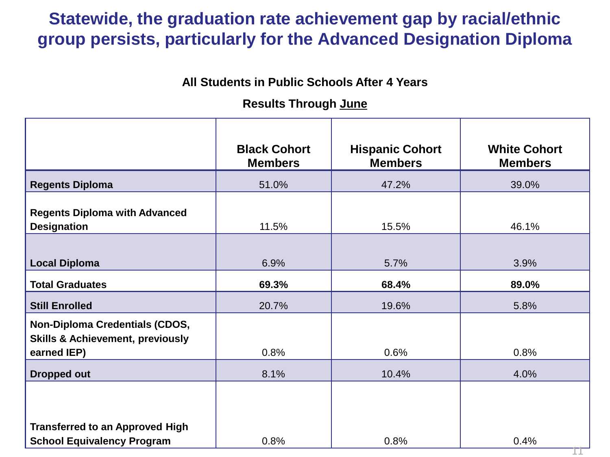## **MOTION FOR ACTION BY FULL BOARD**

Madam Chancellor and Colleagues: Your P-12 Education Committee recommends, and we move, that the Board of Regents act affirmatively upon each recommendation in the written report of the Committee's deliberations at its meeting on February 13, 2018, copies of which have been distributed to each Regent.

### **MATTERS NOT REQUIRING BOARD ACTION**

#### **Senior Deputy Commissioner's Report**

• Graduation Rate Data – Senior Deputy Commissioner Jhone Ebert acknowledged the work of Rose LeRoy and her team, as well as Angelica Infante-Green, Steve Katz, and Emily DeSantis on their work in preparing and gathering the data that was presented to the Regents and to the field this past week on New York State's graduation rate.

### **Consent Agenda**

The Board of Regents will take action on the following consent agenda items at their February 13, 2018 meeting.

• Regulations relating to the Superintendent Determination Option for Certain Students with Disabilities to Graduate with a Local Diploma.

### **P-12 EDUCATION/HIGHER EDUCATION JOINT MEETING**

Your P-12 Education and Higher Education Committees held their scheduled meeting on February 12, 2018. All members were present, except for Regents Norwood, Cashin, Finn and Mittler, who were excused.

### **MATTERS NOT REQUIRING BOARD ACTION**

**APPR Updates** [P-12/HE (D) 1] – The Committee was provided with an update on the Annual Professional Performance Reviews (APPR) of teachers and principals since the Board of Regents adopted the APPR Transition regulations in December 2015. Commissioner Elia discussed the activities underway including the two RFPs that were issued to select a technical assistance provider to help support the work of the Department. The Evaluation and Assessment Workgroups will examine both the elements of the current system that are working well and should be maintained, as well as the potential changes that are needed to the existing system. (Both paths will be inclusive of practitioners from the field and representatives from stakeholder groups.) Also discussed was the work of a technical assistance provider that will work with the Department to conduct Student Learning Objective (SLO) workshops.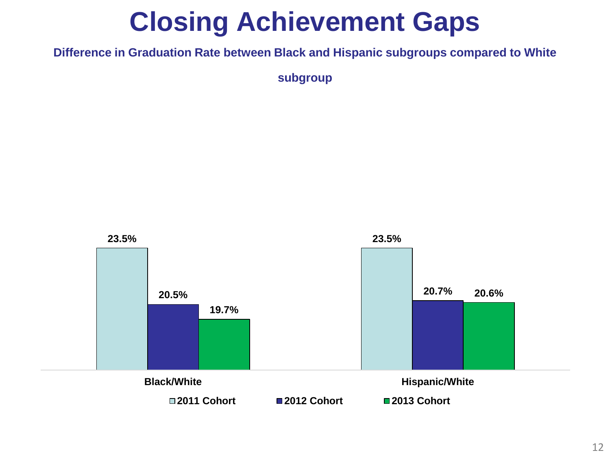The Committee was also updated on the survey that was released to the field on February 6, 2018 to begin a collaborative conversation with teachers, school leaders, and district administrators on revising New York's current APPR system. The survey was designed to collect feedback from educators in the following areas:

- The overall purpose and appropriate use of evaluation to support continuous improvement;
- School-based factors educators believe they have an influence on;
- The inclusion and relative weight of different types of evaluation measures; and
- The frequency and number of instances of each measure.

The results of the Commissioner's initial APPR survey will be provided to Workgroup members. Workgroups will meet regularly over a year's time to formulate additional questions that need to be probed with the field. The Department will organize focus groups, electronic surveys, and regional meetings to gather additional information. The Workgroups will then be asked to reflect on all of the field's feedback and develop initial recommendations that will require further feedback from the field. The Workgroups will assess the work that has been done and the development of the proposed recommendations.

### **PROFESSIONAL PRACTICE**

Your Professional Practice Committee held its scheduled meeting on February 12, 2018. All members were present, except Regent Wade S. Norwood, Regent Josephine Victoria Finn and Regent Susan W. Mittler, who were excused. Chancellor Betty A. Rosa was also present.

### **ACTION ITEMS**

### **Professional Discipline Cases**

Your Committee recommends that the reports of the Regents Review Committees, including rulings, findings of fact, determinations as to guilt, and recommendations, by unanimous or majority vote, contained in those reports which have been distributed to you, be accepted in 3 cases, with Regent Catherine Collins abstaining in two of those cases (Cal. Nos. 28286 & 28913). In addition, your Committee recommends, upon the recommendation of the Committee on the Professions, that 49 consent order applications and 21 surrender applications be granted.

These recommendations are made following the review of 73 cases involving twenty-one registered professional nurses, sixteen licensed practical nurses, four licensed practical nurses who are also registered professional nurses, four professional engineers, two physical therapists, one architect, one chiropractor, one clinical laboratory technologist, one dentist, one dental hygienist, one land surveyor, one licensed practical nurse who is also a registered professional nurse who is also a nurse practitioner (Adult Health) and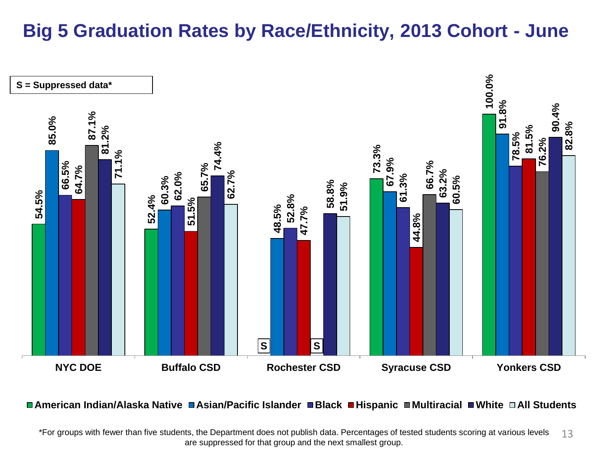also a nurse practitioner (Family Health), one manufacturer of drugs, one massage therapist, one pharmacist, one pharmacy, one psychologist, one registered professional nurse who is also a nurse practitioner (Adult Health), one registered professional nurse who is also a nurse practitioner (Family Health), one veterinarian, one veterinary technician, and one wholesaler of drugs.

# **MOTION FOR ACTION BY FULL BOARD**

Madam Chancellor and Colleagues: Your Professional Practice Committee recommends, and we move, that the Board of Regents act affirmatively upon each recommendation in the written report of the Committee's deliberations at its meeting on February 12, 2018, copies of which have been distributed to each Regent.

### **MATTERS NOT REQUIRING BOARD ACTION**

Your Committee discussed several topics of interest, including:

### **Deputy Commissioner's Report/Update**

- Full Board Consent Agenda Items
- Licensing Petitions
- Master Plan Amendment: CUNY City College, Doctor of Philosophy (Ph.D.) Program in Psychology-Clinical
- State University of New York (SUNY) College of Technology at Delhi: Authorization to Award the Bachelor of Science (B.S.) Degree
- Proposed Amendment of §29.7 of the Rules of the Board of Regents and §63.6 of the Regulations of the Commissioner of Education Relating to the Unprofessional Conduct Special Provisions in the Profession of Pharmacy and the Requirements for Substituting Interchangeable Biological Products for Prescribed Products (2nd Emergency)

**Strengthening Professional Practices Partnerships with Education and Health and Human Services Sectors** [PPC (D) 1] - Your Committee discussed the following: Update on initiatives to leverage licensed professionals to improve outcomes, promote adequate professional services for all children, and inform children about opportunities for careers in the licensed professions.

**MOVED**, that the Committee Reports be approved.

| <b>Motion by:</b> | <b>Regent Catherine Collins</b> |  |  |  |
|-------------------|---------------------------------|--|--|--|
| Seconded by:      | Vice Chancellor T. Andrew Brown |  |  |  |
| <b>Action:</b>    | Motion carried unanimously.     |  |  |  |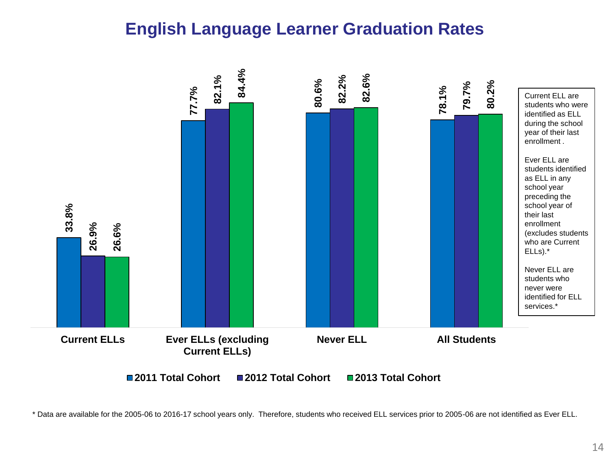### **State Education Department January 2018 Fiscal Report BR (A) 3**

**MOVED,** that the Board accepts the January 2018 State Education Department Fiscal Report as presented.

| Motion by:     | Regent Beverly L. Ouderkirk |
|----------------|-----------------------------|
| Seconded by:   | Regent Christine D. Cea     |
| <b>Action:</b> | Motion carried unanimously. |

### **APPOINTMENTS**

#### **Appointment of Assistant Commissioner for the Office of Access, Equity & Community Engagement BR (A) 4**

**MOVED,** that the Board of Regents approve the appointment of Dr. Anael Alston to the position of Assistant Commissioner for the Office of Access, Equity & Community Engagement.

| <b>Motion by:</b> | Regent Elizabeth S. Hakanson |
|-------------------|------------------------------|
| Seconded by:      | Regent Lester W. Young, Jr.  |
| <b>Action:</b>    | Motion carried unanimously.  |

#### **Appointment of Assistant Commissioner for the Office of Student Support Services BR (A) 4**

**MOVED,** that the Board of Regents approve the appointment of Kathleen DeCataldo, Esq. to the position of Assistant Commissioner for the Office of Student Support Services.

| <b>Motion by:</b> | Regent Judith Johnon        |
|-------------------|-----------------------------|
| Seconded by:      | Regent Beverly L. Ouderkirk |
| <b>Action:</b>    | Motion carried unanimously. |

### **2017 MILKEN AWARD**

Commissioner Elia announced the New York State Milken Award recipients, Aja Brown, a science teacher at Metropolitan Soundview High School in the Bronx and Andrew Franz, a teacher at "Hamlin Park Claude and Ouida Clapp Academy", also known as P.S. 74, in Buffalo.

Chancellor Rosa adjourned the meeting.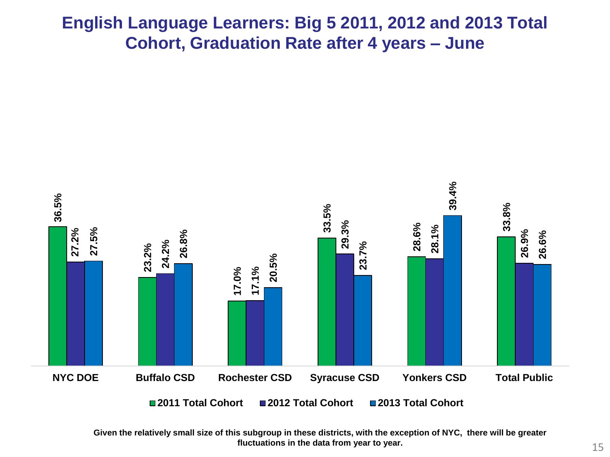### **Appendix I NEW YORK STATE BOARD OF REGENTS CHARTER ACTIONS**

| <b>Name of Institution</b>                                       | Program<br>Area | <b>County</b><br>(City/Town)<br>of Location | <b>Description of Charter</b><br><b>Action(s)</b>                                                                                                                                                                                                                                    |
|------------------------------------------------------------------|-----------------|---------------------------------------------|--------------------------------------------------------------------------------------------------------------------------------------------------------------------------------------------------------------------------------------------------------------------------------------|
| The Bridge Multicultural<br>Museum                               | <b>CE</b>       | <b>Kings</b><br>(Brooklyn)                  | Grant provisional charter for five<br>years.                                                                                                                                                                                                                                         |
| <b>Ephratah Historical Society</b>                               | <b>CE</b>       | Fulton<br>(Ephratah)                        | Extend provisional charter for five<br>years.                                                                                                                                                                                                                                        |
| <b>Glens Falls - Queensbury</b><br><b>Historical Association</b> | <b>CE</b>       | Warren<br>(Glens Falls)                     | Amend charter to expand authority<br>to operate as an historical<br>association museum and to<br>operate and maintain a museum.                                                                                                                                                      |
| <b>Greenwich Historical</b><br>Association                       | <b>CE</b>       | Washington<br>(Greenwich)                   | Amend charter to appoint trustees<br>and revive corporation and to<br>change the corporate name to<br>"Greenwich - Easton Historical<br>Association."                                                                                                                                |
| Institute of Fine Arts Foundation                                | <b>CE</b>       | New York<br>(New York)                      | Dissolve the Regents certificate of<br>incorporation (COI) and approval<br>to distribute remaining assets to<br>New York University as referenced<br>in the COI.                                                                                                                     |
| LaGrange Association Library                                     | <b>CE</b>       | <b>Dutchess</b><br>(LaGrange)               | Amend charter to:<br>• change the trustee term length<br>from five years to three years;<br>• designate the library's service<br>area to be coterminous with the<br>Town of LaGrange;<br>• designate Commissioner as<br>agent for service; and<br>• update IRS dissolution language. |
| Philomathean Free Library                                        | <b>CE</b>       | Jefferson<br>(Belleville)                   | Amend charter to:<br>• change the corporate name to<br><b>Belleville Philomathean Free</b><br>Library;<br>• specify the trustee term length to<br>be three years; and<br>• designate the library's service<br>area to be described by specific<br>census blocks numbers.             |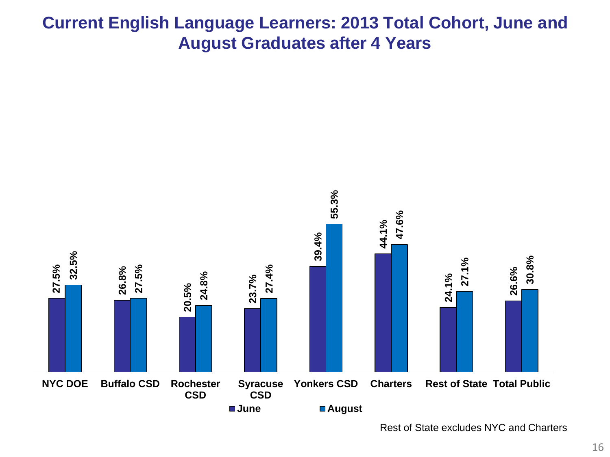| Telecare of the Diocese of<br><b>Rockville Centre</b>                | <b>CE</b>       | Nassau<br>(Uniondale)          | Amend Regents certificate of<br>incorporation to change the<br>corporate name to "The Catholic<br>Faith Network".                                                                                                                                                                                                                                                                                                                                                                                                                                                                                                                                                                                                                                                                                                                                                                                                                                                                                                                                                                                          |
|----------------------------------------------------------------------|-----------------|--------------------------------|------------------------------------------------------------------------------------------------------------------------------------------------------------------------------------------------------------------------------------------------------------------------------------------------------------------------------------------------------------------------------------------------------------------------------------------------------------------------------------------------------------------------------------------------------------------------------------------------------------------------------------------------------------------------------------------------------------------------------------------------------------------------------------------------------------------------------------------------------------------------------------------------------------------------------------------------------------------------------------------------------------------------------------------------------------------------------------------------------------|
| The Bridges Academy                                                  | P <sub>12</sub> | <b>Suffolk</b><br>(West Islip) | Extend provisional charter for<br>three years.                                                                                                                                                                                                                                                                                                                                                                                                                                                                                                                                                                                                                                                                                                                                                                                                                                                                                                                                                                                                                                                             |
| French American School of<br><b>New York</b>                         | P <sub>12</sub> | Westchester<br>(Larchmont)     | Amend charter to add authority to<br>operate at an additional site<br>located at 320 E. Boston Post<br>Road, Mamaroneck, NY.                                                                                                                                                                                                                                                                                                                                                                                                                                                                                                                                                                                                                                                                                                                                                                                                                                                                                                                                                                               |
| New York State Association for<br>the Education of Young<br>Children | P <sub>12</sub> | New York<br>(New York)         | Merge with New York City<br>Association for the Education of<br>Young Children;<br>Rochester Association for the<br>Education of Young Children;<br>W.A.E.Y.C.- Westchester<br>Association for the Education of<br>Young Children;<br>Binghamton Chapter of the<br>National Association for the<br>Education of Young Children, Inc.;<br>The Suffolk Association for the<br><b>Education of Young Children</b><br>(SAEYC);<br>Syracuse Association for the<br>Education of Young Children, Inc.;<br>Association for the Education of<br>Young Children of Western New<br>York, Inc.;<br><b>Chautauqua County Association</b><br>for the Education of Young<br>Children;<br>Capital District Association for the<br>Education of Young Children;<br>Champlain Valley Association for<br>the Education of Young Children;<br>Finger Lakes Association for the<br>Education of Young Children;<br>Mid-Hudson Association for the<br>Education of Young Children;<br>North Country Association for the<br>Education of Young Children;<br>Tri-County Association for the<br><b>Education of Young Children</b> |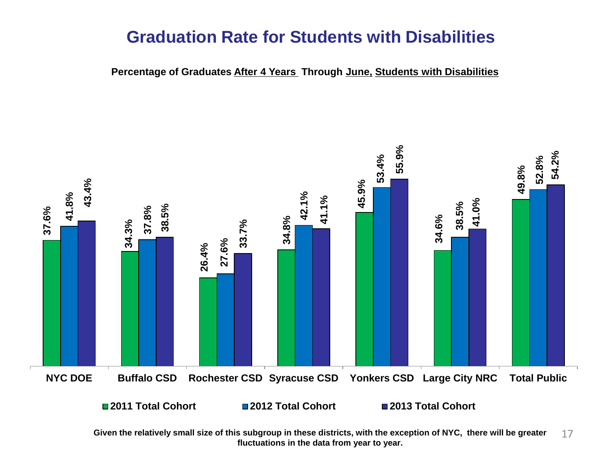|                                             |                 |                                   | with New York State Association<br>for the Education of Young<br>Children as the surviving<br>corporation, with a new amended<br>name "New York Association for<br>the Education of Young Children." |
|---------------------------------------------|-----------------|-----------------------------------|------------------------------------------------------------------------------------------------------------------------------------------------------------------------------------------------------|
| Our Lady of Mercy School for<br>Young Women | P <sub>12</sub> | Monroe<br>(Rochester)             | Amend charter to revise provision<br>on members and dissolution<br>language.                                                                                                                         |
| The Quad Preparatory School                 | P <sub>12</sub> | New York<br>(New York)            | Amend charter to change the<br>corporate address and extend<br>charter for three years.                                                                                                              |
| The STAR Program                            | P <sub>12</sub> | New York<br>(New York)            | Amend charter to change the<br>corporate address; restate the<br>corporate purpose and extend<br>charter for three years.                                                                            |
| <b>Marist College</b>                       | <b>HE</b>       | <b>Dutchess</b><br>(Poughkeepsie) | Amend charter to add authority to<br>confer the Master of Arts in<br>Teaching (M.A.T.) degree.                                                                                                       |
| The Purchase College<br>Foundation          | <b>HE</b>       | Westchester<br>(Purchase)         | Merge with The Performing Arts<br>Center Foundation, Inc. with The<br>Purchase College Foundation as<br>the surviving corporation.                                                                   |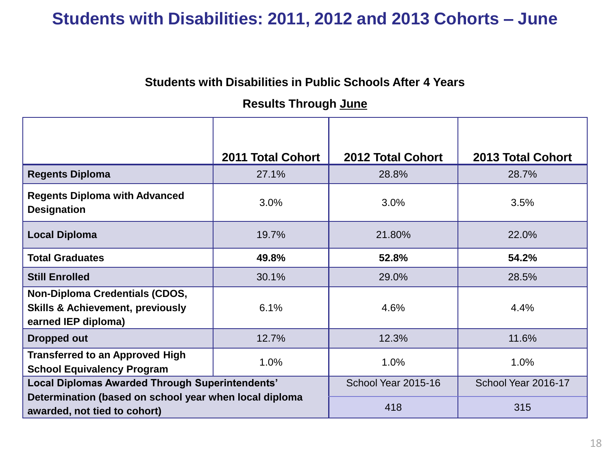### **Appendix II**

## **REGENTS ACTIONS IN 73 PROFESSIONAL DISCIPLINE CASES**

### **February 12 - 13, 2018**

The Board of Regents announced disciplinary actions resulting in the surrender of 19 licenses and 2 certificates, and 52 other disciplinary actions. The penalty indicated for each case relates solely to the misconduct set forth in that particular case.

### **I. SURRENDERS**

### **Chiropractic**

Seth G. Kohl; Chiropractor; Albany, NY 12208; Lic. No. 005259; Cal. No. 30120; Application to surrender license granted. Summary: Licensee admitted to the charge of Criminal Sexual Act.

### **Engineering, Land Surveying and Geology**

Robert John Sawmiller; Professional Engineer; Liverpool, NY 13088; Lic. No. 083551; Cal. No. 30149; Application to surrender license granted. Summary: Licensee admitted to the charge of Attempted Sexual Abuse in the 1st Degree.

### **Nursing**

Nathan D. Baum; Licensed Practical Nurse; Ayer, MA 01432; Lic. No. 321953; Cal. No. 29323; Application to surrender license granted. Summary: Licensee admitted to the charge of having been convicted of Attempt to tamper with consumer product and Obtaining controlled substance by deception and subterfuge.

Dexter D. Clark; Licensed Practical Nurse; Oriskany, NY 13424; Lic. No. 309229; Cal. No. 29846; Application to surrender license granted. Summary: Licensee admitted to charges of Petit Larceny, Driving While Intoxicated, Criminal Possession of a Controlled Substance, and Burglary.

Denise Weisenfeld; Licensed Practical Nurse, Registered Professional Nurse; New Port Richey, FL 34654; Lic. Nos. 078318, 366450; Cal. Nos. 29975, 29976; Application to surrender licenses granted. Summary: Licensee admitted to the charge of having been convicted of Grand Theft of the 3rd Degree, a 3rd Degree felony in the State of Florida, which, if committed within this state, would have been Grand Larceny in the 4th Degree, a class E felony.

Carol Hickey Rhodes a/k/a Carol Marie Rhodes; Licensed Practical Nurse, Registered Professional Nurse, Nurse Practitioner (Adult Health), Nurse Practitioner (Family Health); Taos, NM 87571; Lic. Nos. 229685, 456862, Cert. Nos. 301418, 331605; Cal. Nos.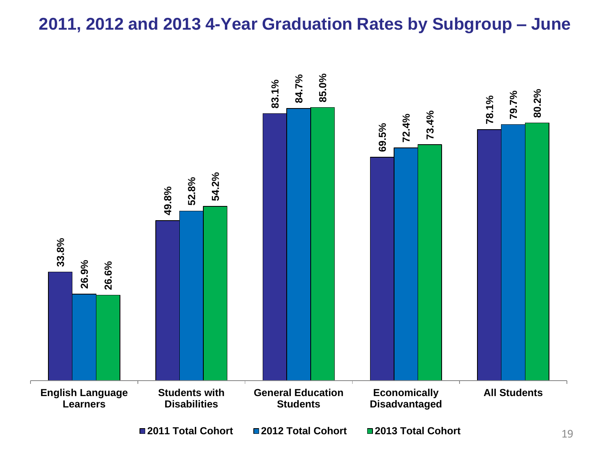29997, 29998, 29999, 30000; Application to surrender licenses and certificates granted. Summary: Licensee admitted to charges of having been convicted of Reckless Driving, a misdemeanor in the 2nd Degree, and Driving Under the Influence, an unclassified misdemeanor, in the State of Florida, and which, if committed within this state would have constituted as Reckless Driving, an unclassified misdemeanor, and Driving While Intoxicated, an unclassified misdemeanor.

Carl R. Lee; Registered Professional Nurse; Utica, NY 13502-1139; Lic. No. 591793; Cal. No. 30003; Application to surrender license granted. Summary: Licensee admitted to charges of working as a nurse when their license was suspended and Unauthorized Practice.

Jennifer Frances Famighetti a/k/a Jennifer Famighetti; Licensed Practical Nurse; Long Beach, NY 11561; Lic. No. 275307; Cal. No. 30004; Application to surrender license granted. Summary: Licensee admitted to the charge of professional misconduct.

Gladys A. Cordova a/k/a Gladys Ann Cordova; Registered Professional Nurse; Homestead, FL 33033; Lic. No. 296818; Cal. No. 30045; Application to surrender license granted. Summary: Licensee did not contest the charge of Florida discipline.

Donna Kelly; Registered Professional Nurse; Central Falls, RI 02863; Lic. No. 340041; Cal. No. 30130; Application to surrender license granted. Summary: Licensee admitted to the charge of failing to make any notations in a patient's record, in the State of Washington, about assessment or care of a Hickman catheter installed in said patient.

Pamela Jean Lee; Registered Professional Nurse; Virginia Beach, VA 23456; Lic. No. 637029; Cal. No. 30166; Application to surrender license granted. Summary: Licensee admitted to the charge of having been found guilty of professional misconduct in California, where the conduct of committed in New York would constitute practicing the profession of nursing while the ability to practice is impaired by drugs.

Colleen Mary Kenny; Registered Professional Nurse; Jackson, NJ 08527; Lic. No. 462222; Cal. No. 30186; Application to surrender license granted. Summary: Licensee did not contest the charge of Florida Discipline.

Charity Ifeanyi Eleda; Registered Professional Nurse; Fort Worth, TX 76127; Lic. No. 458861; Cal. No. 30229; Application to surrender license granted. Summary: Licensee admitted to the charge of having been convicted of Conspiracy to Commit Healthcare Fraud, Healthcare Fraud/Aiding and Abetting and False Statements for Use in Determining Rights for Benefit and Payment by Medicare, all felonies.

Linda P. Shay a/k/a Linda P. Pritchard a/k/a Linda Mary Parkin; Registered Professional Nurse; Purling, NY 12470; Lic. No. 254848; Cal. No. 30249; Application to surrender license granted. Summary: Licensee did not contest charges of instructing patient to stop taking medication and moral unfitness in the practice.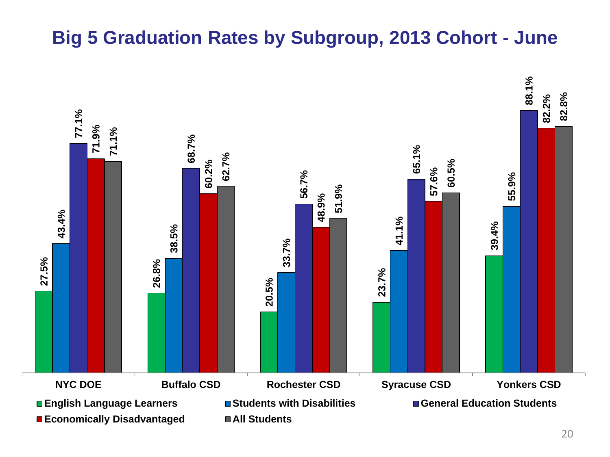Colleen A. Reynolds a/k/a Colleen A. Martin; Licensed Practical Nurse, Registered Professional Nurse; Bellevue, WA 98006; Lic. Nos. 200284, 413076; Cal. Nos. 30258, 30257; Application to surrender licenses granted. Summary: Licensee admitted to the charge of delegating responsibilities to a person who was not qualified to perform them.

## **Psychology**

Jose Manuel Arcaya; Psychologist; White Plains, NY 10606; Lic. No. 007907; Cal. No. 30233; Application to surrender license granted. Summary: Licensee admitted to the charge of failing to keep an accurate patient record of the evaluation and treatment of a patient, in that the numerical results of the psychological testing in the patient were not accurate and there were no verbatim responses from the patient recorded on the test form.

### **II. OTHER REGENTS DISCIPLINARY ACTIONS**

### **Architecture**

Steven Tinkelman; Architect; Poughkeepsie, NY 12603; Lic. No. 016528; Cal No. 30138; Application for consent order granted; Penalty agreed upon: 2 years stayed suspension, 2 years probation, \$1,500 fine.

### **Clinical Laboratory Technology**

Robert A. Balistreri; Clinical Laboratory Technologist; Orchard Park, NY 14127; Lic. No. 010232; Cal. No. 29553; Application for consent order granted; Penalty agreed upon: 2 years stayed suspension, 2 years probation, \$250 fine.

### **Dentistry**

Dmitry Epelboym, Dentist; Brooklyn, NY 11209; Lic. No. 045076; Cal. No. 28913 Found guilty of professional misconduct; Penalty: Revocation, \$10,000 fine.

Darina Jiriaeva; Dental Hygienist; Brooklyn, NY 11223; Lic. No. 025862; Cal. No. 30021; Application for consent order granted; Penalty agreed upon: 2 years stayed suspension, 2 years probation, \$250 fine.

### **Engineering, Land Surveying and Geology**

Steven David Williams; Professional Engineer; Cambria Heights, NY 11411; Lic. No. 077938; Cal. No. 29680; Application for consent order granted; Penalty agreed upon: 1 year stayed suspension, 1 year probation, \$1,500 fine.

Bryant Fields; Professional Engineer; Oakland, CA 94621; Lic. No. 080522; Cal. No. 29978; Application for consent order granted; Penalty agreed upon: 2 years stayed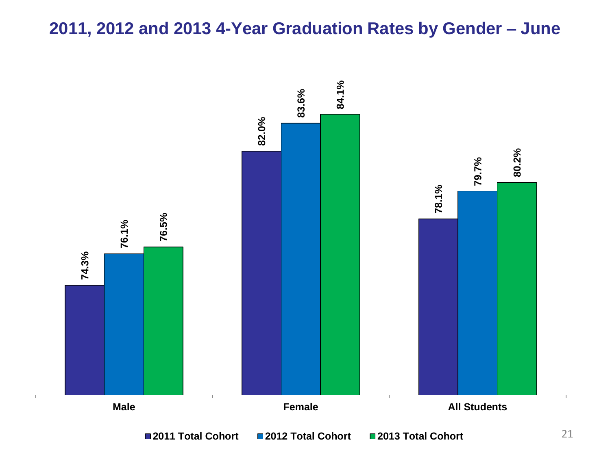suspension, 2 years probation to commence upon return to practice in the State of New York, \$2,500 fine payable within 90 days.

David Scott Freeman; Land Surveyor; Glenwood, NY 14069; Lic. No. 050480; Cal. No. 29984; Application for consent order granted; Penalty agreed upon: 2 years suspension with leave to apply for a stay of execution of any unserved portion thereof after service of first 2 months thereof, upon termination of suspension, 2 years probation, \$7,500 fine.

Vincent T. Leahy a/k/a Vincent Leahy; Professional Engineer; Bronx, NY 10463; Lic. No. 076351; Cal. No. 30147; Application for consent order granted; Penalty agreed upon: 1 year actual suspension, 1 year stayed suspension, 2 years probation, \$1,000 fine.

#### **Massage Therapy**

Dorothy J. Karpien; Massage Therapist; Argyle, NY 12809; Lic. No. 010380; Cal. No. 29800; Application for consent order granted; Penalty agreed upon: 2 years stayed suspension, 2 years probation.

#### **Nursing**

Roxanne Veronica Evans a/k/a Roxanne Veronica McKen; Licensed Practical Nurse; North Baldwin, NY 11510-1814; Lic. No. 202185; Cal. No. 28286; Found guilty of professional misconduct; Penalty: Revocation, \$10,000 fine.

Maureen Dillon; Licensed Practical Nurse; Nanuet, NY 10954, Valley Cottage, NY 10989; Lic. No. 289116; Cal. No. 28341; Found guilty of professional misconduct; Penalty: Censure and Reprimand, probation 1 year.

Lindsay Taylor Almeida; Licensed Practical Nurse; Albany, NY 12205; Lic. No. 308254; Cal. No. 28867; Application for consent order granted; Penalty agreed upon: 1 month actual suspension, 23 months stayed suspension, 2 years probation, \$250 fine.

Mark Louis Madcharo; Registered Professional Nurse; Schenectady, NY 12305; Lic. No. 499908; Cal. No. 29288; Application for consent order granted; Penalty agreed upon: Indefinite actual suspension for no less than 1 year and until mentally fit to practice, upon termination of suspension, 2 years probation to commence upon return to practice, \$500 fine payable within 6 months.

Sueanne Sheppard; Licensed Practical Nurse; Argyle, NY 12809-1280; Lic. No. 200223; Cal. No. 29503; Application for consent order granted; Penalty agreed upon: 2 months actual suspension, 22 months stayed suspension, 2 years probation to commence upon return to practice, \$500 fine payable within 6 months.

Crystal L. Smithers; Registered Professional Nurse; Heuvelton, NY 13654; Lic. No. 515424; Cal. No. 29603; Application for consent order granted; Penalty agreed upon: 2 years stayed suspension, 2 years probation, \$500 fine.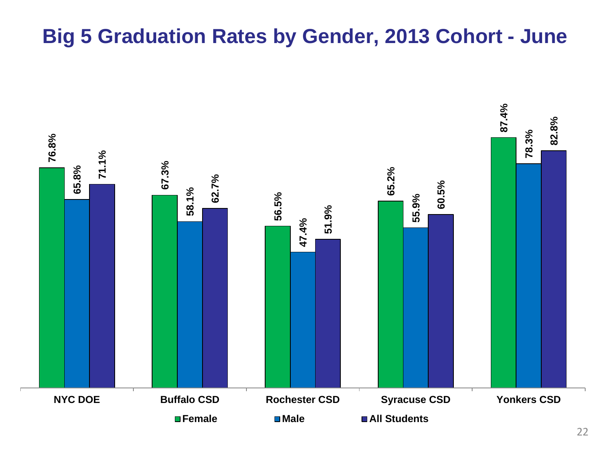Aphrodite Maria Koinoglou; Registered Professional Nurse, Nurse Practitioner (Adult Health); Williston Park, NY 11596; Lic. No. 380459, Cert. No. 301024; Cal. Nos. 29607, 29608; Application for consent order granted; Penalty agreed upon: 1 month actual suspensions, 23 months stayed suspensions, 2 years probation, \$500 fine.

Karen Jean Robison a/k/a Karen J. Keays; Licensed Practical Nurse; Greenwich, NY 12834; Lic. No. 170656; Cal. No. 29631; Application for consent order granted; Penalty agreed upon: 12 months actual suspension, 12 months stayed suspension, 2 years probation to commence upon return to practice.

Andrea Kristen Young; Registered Professional Nurse; Williamsville, NY 14221; Lic. No. 536222; Cal. No. 29706; Application for consent order granted; Penalty agreed upon: Indefinite actual suspension until fit to practice, upon termination of suspension, 2 years probation to commence upon return to practice, \$500 fine payable within 3 months.

Kathy E. Weber; Registered Professional Nurse; Watkins Glen, NY 14891; Lic. No. 310716; Cal. No. 29791; Application for consent order granted; Penalty agreed upon: 1 year stayed suspension, 1 year probation, \$750 fine.

Emily Anne Kalfas; Licensed Practical Nurse; Dunkirk, NY 14048; Lic. No. 322835; Cal. No. 29793; Application for consent order granted; Penalty agreed upon: 2 years stayed suspension, 2 years probation, \$500 fine.

Lynn Ann Weiss; Registered Professional Nurse; Port Jefferson Station, NY 11776-3372; Lic. No. 388780; Cal. No. 29807; Application for consent order granted; Penalty agreed upon: 2 years stayed suspension, 2 years probation, \$500 fine.

Katie L. Helmer; Registered Professional Nurse; Brasher Falls, NY 13613; Lic. No. 592605; Cal. No. 29839; Application for consent order granted; Penalty agreed upon: Indefinite actual suspension until fit to practice, upon termination of suspension, 2 years probation to commence upon return to practice, \$500 fine payable within 6 months.

Lisa A. Wilson; Licensed Practical Nurse; Rochester, NY 14606; Lic. No. 279163; Cal. No. 29896; Application for consent order granted; Penalty agreed upon: 2 years stayed suspension, 2 years probation, \$500 fine.

Aleftina Veronica Ziskin-Turner; Licensed Practical Nurse; Colonie, NY 12205; Lic. No. 319385; Cal. No. 29909; Application for consent order granted; Penalty agreed upon: 2 months actual suspension, 22 months stayed suspension, 2 years probation to commence upon return to practice, \$1,000 fine payable within 4 months.

Craig T. Clemens a/k/a Craig Thomas Clemens; Licensed Practical Nurse, Registered Professional Nurse; Bay Shore, NY 11706-7105; Lic. Nos. 181121, 388862; Cal. Nos. 29912, 29913; Application for consent order granted; Penalty agreed upon: 2 years stayed suspensions, 2 years probation, \$500 fine.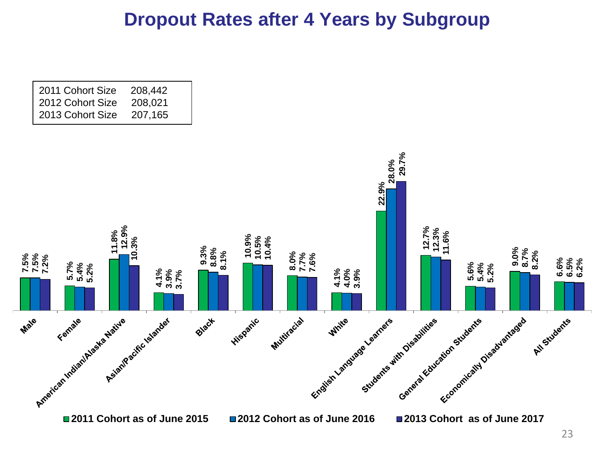Lori Susan Lathrop; Registered Professional Nurse; East Amherst, NY 14051; Lic. No. 401481; Cal. No. 29915; Application for consent order granted; Penalty agreed upon: Indefinite actual suspension for no less than 6 months and until fit to practice, upon termination of suspension, 2 years probation to commence upon return to practice, \$500 fine payable within 3 months.

Natasha S. Newton; Licensed Practical Nurse; Syracuse, NY 13205; Lic. No. 294512; Cal. No. 29949; Application for consent order granted; Penalty agreed upon: Indefinite actual suspension until fit to practice, upon termination of suspension, 2 years probation to commence upon return to practice, \$500 fine payable within 6 months.

Joanna Marie Cirilla; Registered Professional Nurse; Rochester, NY 14609; Lic. No. 668588; Cal. No. 29956; Application for consent order granted; Penalty agreed upon: 1 month actual suspension, 23 months stayed suspension, 2 years probation to commence upon return to practice, \$500 fine payable within 9 months.

Kayana Antoinette Sutherland; Licensed Practical Nurse; Amityville, NY 11701; Lic. No. 323757; Cal. No. 29968; Application for consent order granted; Penalty agreed upon: 1 month actual suspension, 23 months stayed suspension, 2 years probation.

Melinda C. Lugay a/k/a Melinda Cero Lugay; Licensed Practical Nurse, Registered Professional Nurse; New Hempstead, NY 10977; Lic. Nos. 199802, 413073; Cal. Nos. 29981, 29982; Application for consent order granted; Penalty agreed upon: 1 month actual suspensions, 23 months stayed suspensions, 24 months probation.

Richard Hurley Slagle; Registered Professional Nurse, Nurse Practitioner (Family Health); Auburn, NY 13021; Lic. No. 633225, Cert. No. 338836; Cal. Nos. 29985, 29986; Application for consent order granted; Penalty agreed upon: 2 years stayed suspensions, 2 years probation, \$500 fine.

Mario A. Jones; Licensed Practical Nurse; Troy, NY 12180; Lic. No. 296704; Cal. No. 30001; Application for consent order granted; Penalty agreed upon: 6 months actual suspension, 18 months stayed suspension, 2 years probation to commence if and when return to practice, \$500 fine payable within 9 months.

Linda Steil; Registered Professional Nurse; Merrick, NY 11566-2134; Lic. No. 603928; Cal. No. 30030; Application for consent order granted; Penalty agreed upon: 1 year stayed suspension, 1 year probation, \$250 fine.

Jeannine S. Clark; Licensed Practical Nurse; Buffalo, NY 14208; Lic. No. 284625; Cal. No. 30057; Application for consent order granted; Penalty agreed upon: 2 years stayed suspension, 2 years probation, \$250 fine.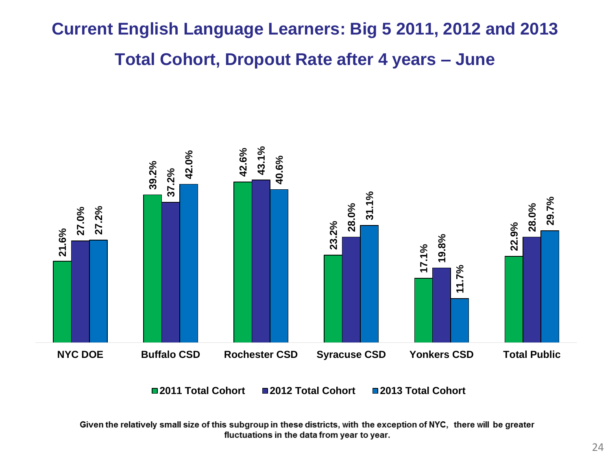Stephanie Lynn Maybury; Registered Professional Nurse; Johnstown, NY 12095; Lic. No. 557184; Cal. No. 30082; Application for consent order granted; Penalty agreed upon: 2 years stayed suspension, 2 years probation, \$500 fine.

Tina Lynn Bruce; Licensed Practical Nurse; St. Augustine, FL 32095; Lic. No. 269244; Cal. No. 30124; Application for consent order granted; Penalty agreed upon: 3 months actual suspension, 21 months stayed suspension, 2 years probation to commence upon return to practice in the State of New York, \$1,500 fine payable within 2 months.

Susan L. Masse; Registered Professional Nurse; Flanders, NY 11901-4029; Lic. No. 575874; Cal. No. 30133; Application for consent order granted; Penalty agreed upon: 2 years stayed suspension, 2 years probation, \$1,500 fine.

Lori A. Cappellini; Registered Professional Nurse; Hyde Park, NY 12538; Lic. No. 491351; Cal. No. 30136; Application for consent order granted; Penalty agreed upon: 1 year stayed suspension, 1 year probation, \$500 fine.

Daniel James MacManus Sullivan; Registered Professional Nurse; Wayne, PA 19087- 0412; Lic. No. 678255; Cal. No. 30146; Application for consent order granted; Penalty agreed upon: 2 months actual suspension, 22 months stayed suspension, 2 years probation to commence upon return to practice in the State of New York, \$500 fine payable within 30 days.

Erica Lea Coffey; Registered Professional Nurse; Lebanon, KY 40033-1611; Lic. No. 620969; Cal. No. 30256; Application for consent order granted; Penalty agreed upon: 1 year stayed suspension, 1 year probation to commence upon return to practice in the State of New York, \$500 fine payable within 30 days.

### **Pharmacy**

Alk-Abello, Inc.; Manufacturer of Drugs and/or Devices; Port Washington, NY 11050; Reg. No. 026231; Cal. No. 29802; Application for consent order granted; Penalty agreed upon: Censure and Reprimand, \$5,000 fine payable within 30 days.

Alk-Abello, Inc.; Wholesaler of Drugs and/or Devices; Port Washington, NY 11050; Reg. No. 034633; Cal. No. 29803; Application for consent order granted; Penalty agreed upon: Censure and Reprimand, \$5,000 fine payable within 30 days.

Nicholas A. Lustrino; Pharmacist; West Harrison, NY 10604; Lic. No. 036756; Cal. No. 29826; Application for consent order granted; Penalty agreed upon: 3 months actual suspension, 21 months stayed suspension, 24 months probation, \$5,000 fine.

New SNS Corp. d/b/a Junction Pharmacy; Pharmacy; Brooklyn, NY 11210; Reg. No. 033864; Cal. No. 29990; Application for consent order granted; Penalty agreed upon: Censure and Reprimand, \$4,000 fine payable within 30 days.